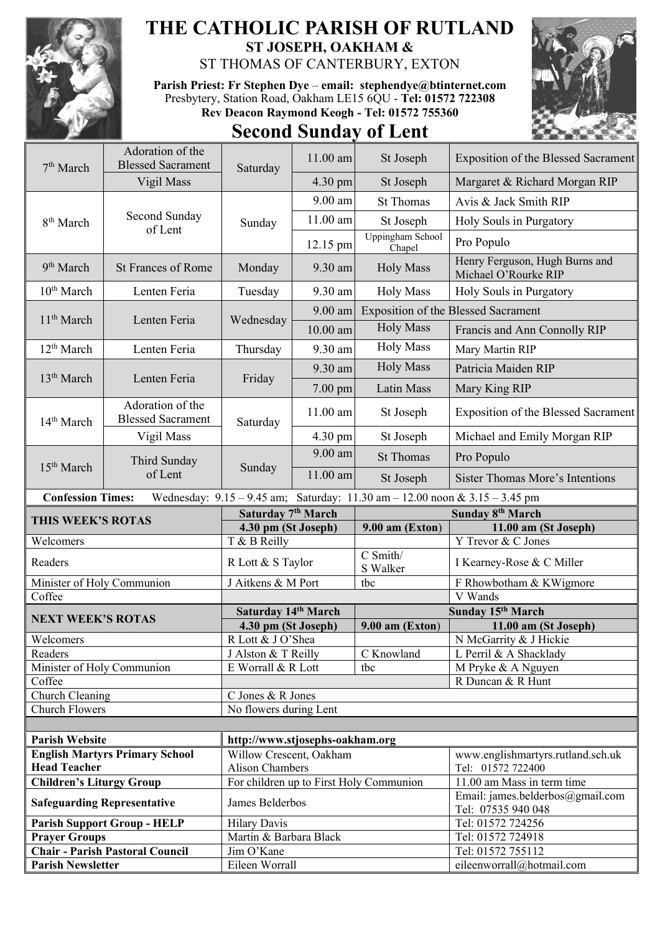

## **THE CATHOLIC PARISH OF RUTLAND ST JOSEPH, OAKHAM &**

ST THOMAS OF CANTERBURY, EXTON

**Parish Priest: Fr Stephen Dye** – **[email: stephendye@btinternet.com](mailto:email:%20%20stephendye@btinternet.com)** Presbytery, Station Road, Oakham LE15 6QU - **Tel: 01572 722308 Rev Deacon Raymond Keogh - Tel: 01572 755360**

## **Second Sunday of Lent**



| 7 <sup>th</sup> March              | Adoration of the<br><b>Blessed Sacrament</b>                                                            |                                     | 11.00 am   | St Joseph                                  | Exposition of the Blessed Sacrament                    |  |
|------------------------------------|---------------------------------------------------------------------------------------------------------|-------------------------------------|------------|--------------------------------------------|--------------------------------------------------------|--|
|                                    | Vigil Mass                                                                                              | Saturday                            | 4.30 pm    | St Joseph                                  | Margaret & Richard Morgan RIP                          |  |
|                                    |                                                                                                         |                                     | 9.00 am    | <b>St Thomas</b>                           | Avis & Jack Smith RIP                                  |  |
| 8 <sup>th</sup> March              | Second Sunday<br>of Lent                                                                                | Sunday                              | 11.00 am   | St Joseph                                  | Holy Souls in Purgatory                                |  |
|                                    |                                                                                                         |                                     | 12.15 pm   | Uppingham School<br>Chapel                 | Pro Populo                                             |  |
| 9 <sup>th</sup> March              | <b>St Frances of Rome</b>                                                                               | Monday                              | 9.30 am    | <b>Holy Mass</b>                           | Henry Ferguson, Hugh Burns and<br>Michael O'Rourke RIP |  |
| 10 <sup>th</sup> March             | Lenten Feria                                                                                            | Tuesday                             | 9.30 am    | <b>Holy Mass</b>                           | Holy Souls in Purgatory                                |  |
| 11 <sup>th</sup> March             | Lenten Feria                                                                                            | Wednesday                           | 9.00 am    | <b>Exposition of the Blessed Sacrament</b> |                                                        |  |
|                                    |                                                                                                         |                                     | 10.00 am   | <b>Holy Mass</b>                           | Francis and Ann Connolly RIP                           |  |
| 12 <sup>th</sup> March             | Lenten Feria                                                                                            | Thursday                            | 9.30 am    | <b>Holy Mass</b>                           | Mary Martin RIP                                        |  |
|                                    | Lenten Feria                                                                                            | Friday                              | 9.30 am    | <b>Holy Mass</b>                           | Patricia Maiden RIP                                    |  |
| 13 <sup>th</sup> March             |                                                                                                         |                                     | 7.00 pm    | Latin Mass                                 | Mary King RIP                                          |  |
| 14 <sup>th</sup> March             | Adoration of the<br><b>Blessed Sacrament</b>                                                            | Saturday                            | 11.00 am   | St Joseph                                  | <b>Exposition of the Blessed Sacrament</b>             |  |
|                                    | Vigil Mass                                                                                              |                                     | 4.30 pm    | St Joseph                                  | Michael and Emily Morgan RIP                           |  |
| 15 <sup>th</sup> March             | Third Sunday<br>of Lent                                                                                 | Sunday                              | 9.00 am    | <b>St Thomas</b>                           | Pro Populo                                             |  |
|                                    |                                                                                                         |                                     | $11.00$ am | St Joseph                                  | <b>Sister Thomas More's Intentions</b>                 |  |
|                                    | <b>Confession Times:</b><br>Wednesday: 9.15 - 9.45 am; Saturday: 11.30 am - 12.00 noon & 3.15 - 3.45 pm |                                     |            |                                            |                                                        |  |
|                                    |                                                                                                         |                                     |            |                                            |                                                        |  |
|                                    |                                                                                                         |                                     |            |                                            |                                                        |  |
| THIS WEEK'S ROTAS                  |                                                                                                         | Saturday 7 <sup>th</sup> March      |            |                                            | Sunday 8 <sup>th</sup> March                           |  |
| Welcomers                          |                                                                                                         | 4.30 pm (St Joseph)<br>T & B Reilly |            | $9.00$ am (Exton)                          | 11.00 am (St Joseph)<br>Y Trevor & C Jones             |  |
| Readers                            |                                                                                                         | R Lott & S Taylor                   |            | C Smith/<br>S Walker                       | I Kearney-Rose & C Miller                              |  |
| Minister of Holy Communion         |                                                                                                         | J Aitkens & M Port                  |            | tbc                                        | F Rhowbotham & KWigmore                                |  |
| Coffee                             |                                                                                                         |                                     |            |                                            | V Wands                                                |  |
|                                    |                                                                                                         | Saturday 14th March                 |            |                                            | Sunday 15th March                                      |  |
| <b>NEXT WEEK'S ROTAS</b>           |                                                                                                         | 4.30 pm (St Joseph)                 |            | $9.00$ am (Exton)                          | 11.00 am (St Joseph)                                   |  |
| Welcomers                          |                                                                                                         | R Lott & J O'Shea                   |            |                                            | N McGarrity & J Hickie                                 |  |
| Readers                            |                                                                                                         | J Alston & T Reilly                 |            | C Knowland                                 | L Perril & A Shacklady                                 |  |
| Minister of Holy Communion         |                                                                                                         | E Worrall & R Lott                  |            | tbc                                        | M Pryke & A Nguyen                                     |  |
| Coffee                             |                                                                                                         |                                     |            |                                            | R Duncan & R Hunt                                      |  |
| Church Cleaning                    |                                                                                                         | C Jones & R Jones                   |            |                                            |                                                        |  |
| <b>Church Flowers</b>              |                                                                                                         | No flowers during Lent              |            |                                            |                                                        |  |
|                                    |                                                                                                         |                                     |            |                                            |                                                        |  |
| <b>Parish Website</b>              |                                                                                                         | http://www.stjosephs-oakham.org     |            |                                            |                                                        |  |
|                                    | <b>English Martyrs Primary School</b>                                                                   | Willow Crescent, Oakham             |            |                                            | www.englishmartyrs.rutland.sch.uk                      |  |
| <b>Head Teacher</b>                |                                                                                                         | <b>Alison Chambers</b>              |            |                                            | Tel: 01572 722400                                      |  |
| <b>Children's Liturgy Group</b>    |                                                                                                         |                                     |            | For children up to First Holy Communion    | 11.00 am Mass in term time                             |  |
| <b>Safeguarding Representative</b> |                                                                                                         | James Belderbos                     |            |                                            | Email: james.belderbos@gmail.com<br>Tel: 07535 940 048 |  |
|                                    | <b>Parish Support Group - HELP</b>                                                                      | <b>Hilary Davis</b>                 |            |                                            | Tel: 01572 724256                                      |  |
| <b>Prayer Groups</b>               |                                                                                                         | Martin & Barbara Black              |            |                                            | Tel: 01572 724918                                      |  |
| <b>Parish Newsletter</b>           | <b>Chair - Parish Pastoral Council</b>                                                                  | Jim O'Kane<br>Eileen Worrall        |            |                                            | Tel: 01572 755112<br>eileenworrall@hotmail.com         |  |